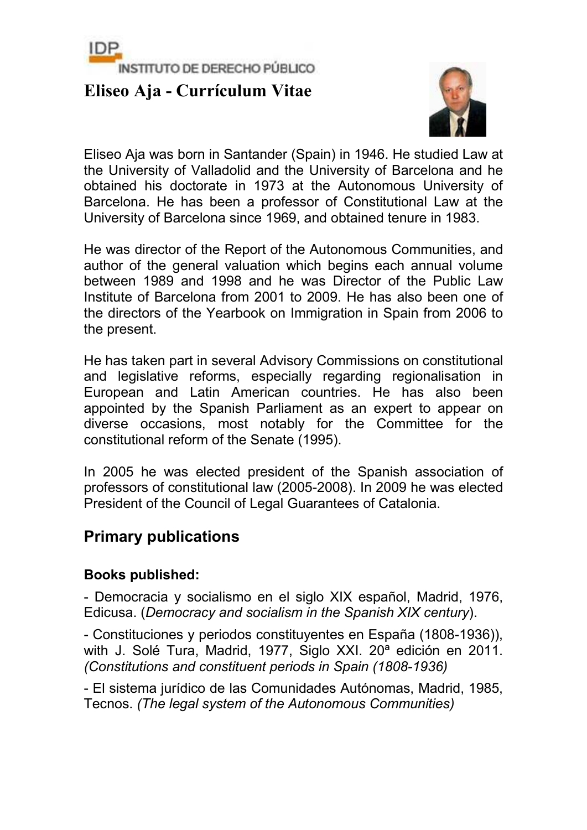

# **Eliseo Aja - Currículum Vitae**



Eliseo Aja was born in Santander (Spain) in 1946. He studied Law at the University of Valladolid and the University of Barcelona and he obtained his doctorate in 1973 at the Autonomous University of Barcelona. He has been a professor of Constitutional Law at the University of Barcelona since 1969, and obtained tenure in 1983.

He was director of the Report of the Autonomous Communities, and author of the general valuation which begins each annual volume between 1989 and 1998 and he was Director of the Public Law Institute of Barcelona from 2001 to 2009. He has also been one of the directors of the Yearbook on Immigration in Spain from 2006 to the present.

He has taken part in several Advisory Commissions on constitutional and legislative reforms, especially regarding regionalisation in European and Latin American countries. He has also been appointed by the Spanish Parliament as an expert to appear on diverse occasions, most notably for the Committee for the constitutional reform of the Senate (1995).

In 2005 he was elected president of the Spanish association of professors of constitutional law (2005-2008). In 2009 he was elected President of the Council of Legal Guarantees of Catalonia.

# **Primary publications**

### **Books published:**

- Democracia y socialismo en el siglo XIX español, Madrid, 1976, Edicusa. (*Democracy and socialism in the Spanish XIX century*).

- Constituciones y periodos constituyentes en España (1808-1936)), with J. Solé Tura, Madrid, 1977, Siglo XXI. 20ª edición en 2011. *(Constitutions and constituent periods in Spain (1808-1936)*

- El sistema jurídico de las Comunidades Autónomas, Madrid, 1985, Tecnos. *(The legal system of the Autonomous Communities)*